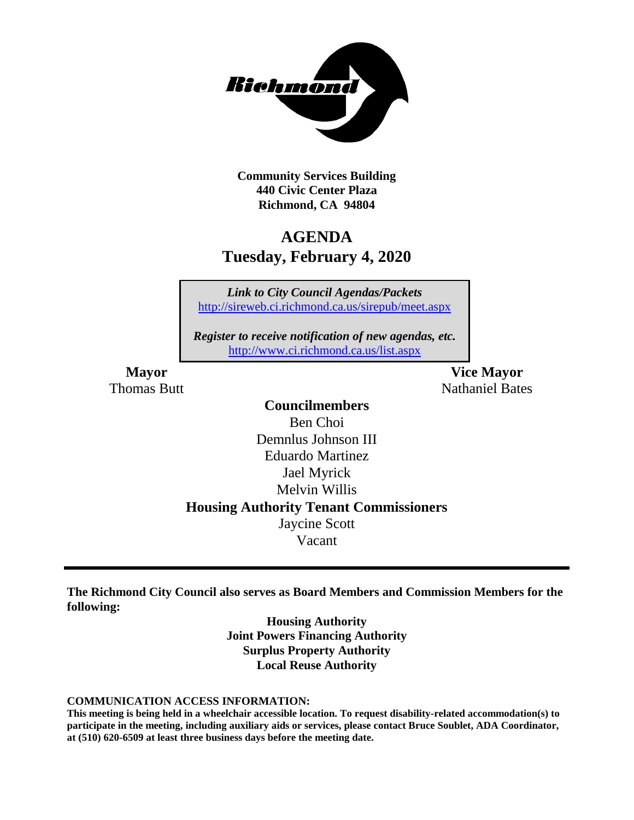

**Community Services Building 440 Civic Center Plaza Richmond, CA 94804**

# **AGENDA Tuesday, February 4, 2020**

*Link to City Council Agendas/Packets* <http://sireweb.ci.richmond.ca.us/sirepub/meet.aspx>

*Register to receive notification of new agendas, etc.* <http://www.ci.richmond.ca.us/list.aspx>

**Mayor Vice Mayor Thomas Butt Nathaniel Bates Nathaniel Bates** 

# **Councilmembers**

Ben Choi Demnlus Johnson III Eduardo Martinez Jael Myrick Melvin Willis **Housing Authority Tenant Commissioners** Jaycine Scott Vacant

**The Richmond City Council also serves as Board Members and Commission Members for the following:**

> **Housing Authority Joint Powers Financing Authority Surplus Property Authority Local Reuse Authority**

#### **COMMUNICATION ACCESS INFORMATION:**

**This meeting is being held in a wheelchair accessible location. To request disability-related accommodation(s) to participate in the meeting, including auxiliary aids or services, please contact Bruce Soublet, ADA Coordinator, at (510) 620-6509 at least three business days before the meeting date.**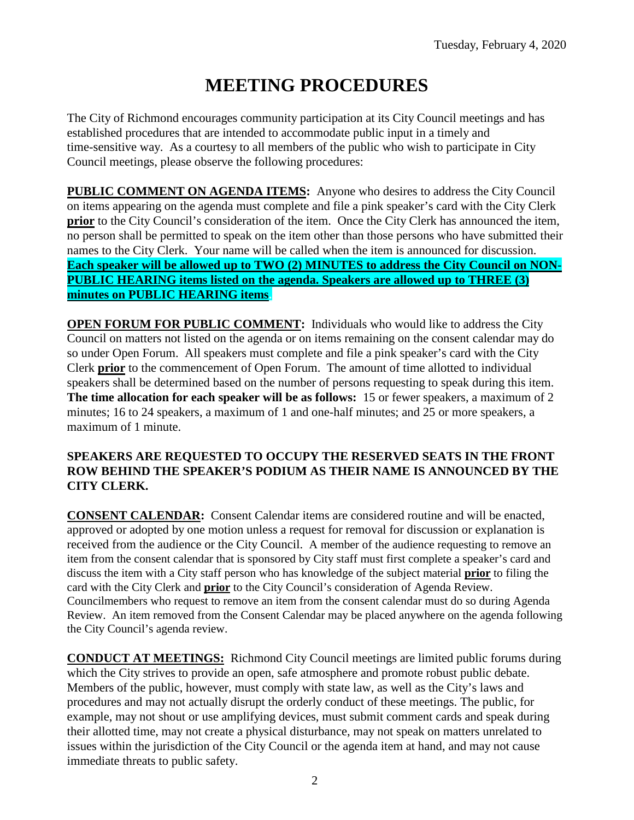# **MEETING PROCEDURES**

The City of Richmond encourages community participation at its City Council meetings and has established procedures that are intended to accommodate public input in a timely and time-sensitive way. As a courtesy to all members of the public who wish to participate in City Council meetings, please observe the following procedures:

**PUBLIC COMMENT ON AGENDA ITEMS:** Anyone who desires to address the City Council on items appearing on the agenda must complete and file a pink speaker's card with the City Clerk **prior** to the City Council's consideration of the item. Once the City Clerk has announced the item, no person shall be permitted to speak on the item other than those persons who have submitted their names to the City Clerk. Your name will be called when the item is announced for discussion. **Each speaker will be allowed up to TWO (2) MINUTES to address the City Council on NON-PUBLIC HEARING items listed on the agenda. Speakers are allowed up to THREE (3) minutes on PUBLIC HEARING items.**

**OPEN FORUM FOR PUBLIC COMMENT:** Individuals who would like to address the City Council on matters not listed on the agenda or on items remaining on the consent calendar may do so under Open Forum. All speakers must complete and file a pink speaker's card with the City Clerk **prior** to the commencement of Open Forum. The amount of time allotted to individual speakers shall be determined based on the number of persons requesting to speak during this item. **The time allocation for each speaker will be as follows:** 15 or fewer speakers, a maximum of 2 minutes; 16 to 24 speakers, a maximum of 1 and one-half minutes; and 25 or more speakers, a maximum of 1 minute.

#### **SPEAKERS ARE REQUESTED TO OCCUPY THE RESERVED SEATS IN THE FRONT ROW BEHIND THE SPEAKER'S PODIUM AS THEIR NAME IS ANNOUNCED BY THE CITY CLERK.**

**CONSENT CALENDAR:** Consent Calendar items are considered routine and will be enacted, approved or adopted by one motion unless a request for removal for discussion or explanation is received from the audience or the City Council. A member of the audience requesting to remove an item from the consent calendar that is sponsored by City staff must first complete a speaker's card and discuss the item with a City staff person who has knowledge of the subject material **prior** to filing the card with the City Clerk and **prior** to the City Council's consideration of Agenda Review. Councilmembers who request to remove an item from the consent calendar must do so during Agenda Review. An item removed from the Consent Calendar may be placed anywhere on the agenda following the City Council's agenda review.

**CONDUCT AT MEETINGS:** Richmond City Council meetings are limited public forums during which the City strives to provide an open, safe atmosphere and promote robust public debate. Members of the public, however, must comply with state law, as well as the City's laws and procedures and may not actually disrupt the orderly conduct of these meetings. The public, for example, may not shout or use amplifying devices, must submit comment cards and speak during their allotted time, may not create a physical disturbance, may not speak on matters unrelated to issues within the jurisdiction of the City Council or the agenda item at hand, and may not cause immediate threats to public safety.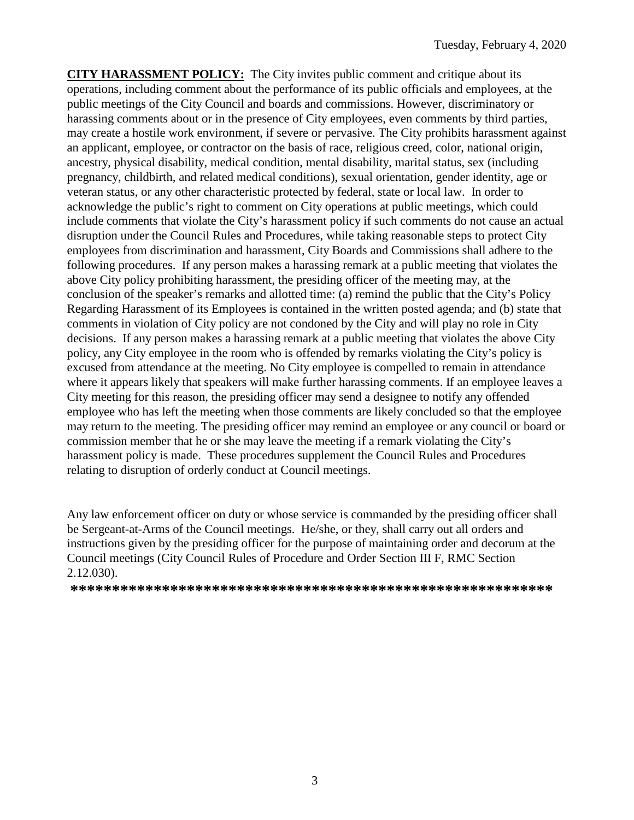**CITY HARASSMENT POLICY:** The City invites public comment and critique about its operations, including comment about the performance of its public officials and employees, at the public meetings of the City Council and boards and commissions. However, discriminatory or harassing comments about or in the presence of City employees, even comments by third parties, may create a hostile work environment, if severe or pervasive. The City prohibits harassment against an applicant, employee, or contractor on the basis of race, religious creed, color, national origin, ancestry, physical disability, medical condition, mental disability, marital status, sex (including pregnancy, childbirth, and related medical conditions), sexual orientation, gender identity, age or veteran status, or any other characteristic protected by federal, state or local law. In order to acknowledge the public's right to comment on City operations at public meetings, which could include comments that violate the City's harassment policy if such comments do not cause an actual disruption under the Council Rules and Procedures, while taking reasonable steps to protect City employees from discrimination and harassment, City Boards and Commissions shall adhere to the following procedures. If any person makes a harassing remark at a public meeting that violates the above City policy prohibiting harassment, the presiding officer of the meeting may, at the conclusion of the speaker's remarks and allotted time: (a) remind the public that the City's Policy Regarding Harassment of its Employees is contained in the written posted agenda; and (b) state that comments in violation of City policy are not condoned by the City and will play no role in City decisions. If any person makes a harassing remark at a public meeting that violates the above City policy, any City employee in the room who is offended by remarks violating the City's policy is excused from attendance at the meeting. No City employee is compelled to remain in attendance where it appears likely that speakers will make further harassing comments. If an employee leaves a City meeting for this reason, the presiding officer may send a designee to notify any offended employee who has left the meeting when those comments are likely concluded so that the employee may return to the meeting. The presiding officer may remind an employee or any council or board or commission member that he or she may leave the meeting if a remark violating the City's harassment policy is made. These procedures supplement the Council Rules and Procedures relating to disruption of orderly conduct at Council meetings.

Any law enforcement officer on duty or whose service is commanded by the presiding officer shall be Sergeant-at-Arms of the Council meetings. He/she, or they, shall carry out all orders and instructions given by the presiding officer for the purpose of maintaining order and decorum at the Council meetings (City Council Rules of Procedure and Order Section III F, RMC Section 2.12.030).

**\*\*\*\*\*\*\*\*\*\*\*\*\*\*\*\*\*\*\*\*\*\*\*\*\*\*\*\*\*\*\*\*\*\*\*\*\*\*\*\*\*\*\*\*\*\*\*\*\*\*\*\*\*\*\*\*\*\***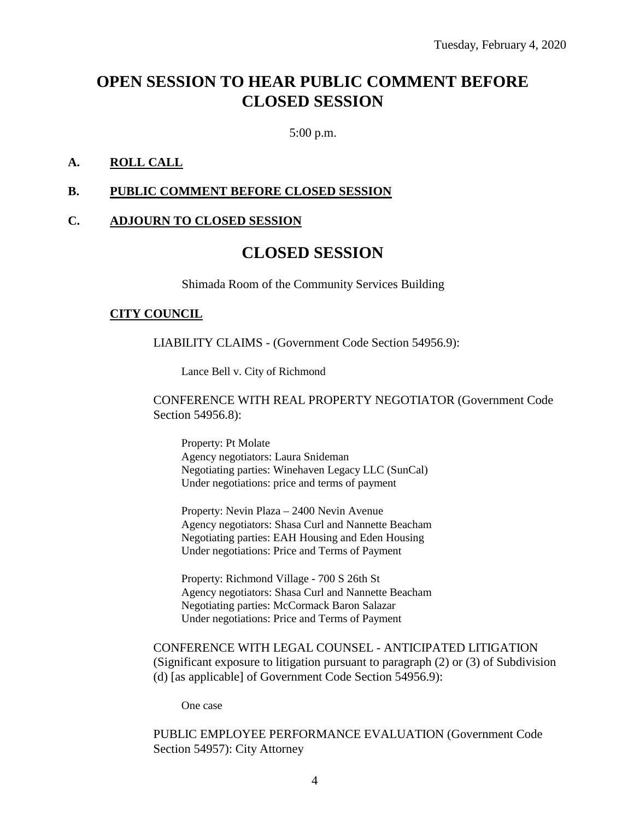# **OPEN SESSION TO HEAR PUBLIC COMMENT BEFORE CLOSED SESSION**

5:00 p.m.

#### **A. ROLL CALL**

#### **B. PUBLIC COMMENT BEFORE CLOSED SESSION**

#### **C. ADJOURN TO CLOSED SESSION**

# **CLOSED SESSION**

Shimada Room of the Community Services Building

#### **CITY COUNCIL**

LIABILITY CLAIMS - (Government Code Section 54956.9):

Lance Bell v. City of Richmond

CONFERENCE WITH REAL PROPERTY NEGOTIATOR (Government Code Section 54956.8):

Property: Pt Molate Agency negotiators: Laura Snideman Negotiating parties: Winehaven Legacy LLC (SunCal) Under negotiations: price and terms of payment

Property: Nevin Plaza – 2400 Nevin Avenue Agency negotiators: Shasa Curl and Nannette Beacham Negotiating parties: EAH Housing and Eden Housing Under negotiations: Price and Terms of Payment

Property: Richmond Village - 700 S 26th St Agency negotiators: Shasa Curl and Nannette Beacham Negotiating parties: McCormack Baron Salazar Under negotiations: Price and Terms of Payment

CONFERENCE WITH LEGAL COUNSEL - ANTICIPATED LITIGATION (Significant exposure to litigation pursuant to paragraph (2) or (3) of Subdivision (d) [as applicable] of Government Code Section 54956.9):

One case

PUBLIC EMPLOYEE PERFORMANCE EVALUATION (Government Code Section 54957): City Attorney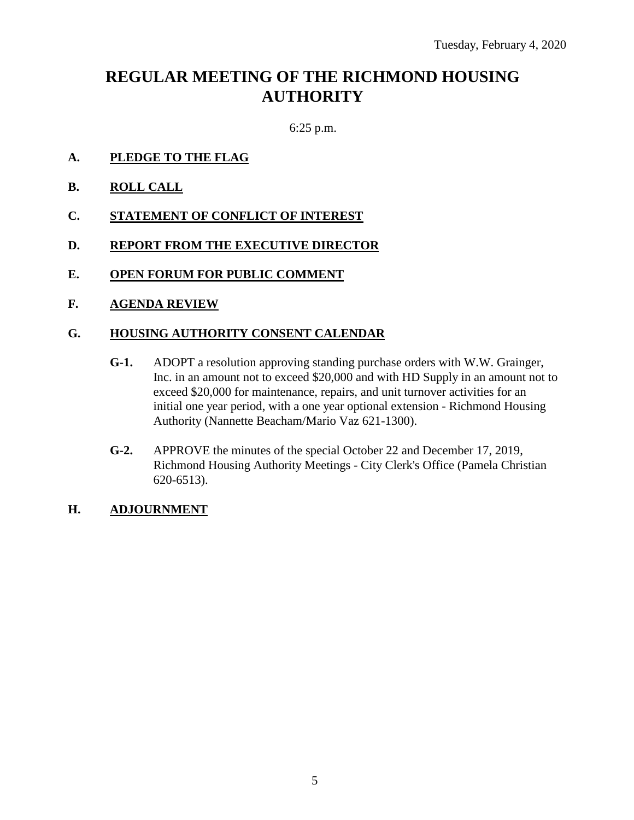# **REGULAR MEETING OF THE RICHMOND HOUSING AUTHORITY**

6:25 p.m.

- **A. PLEDGE TO THE FLAG**
- **B. ROLL CALL**
- **C. STATEMENT OF CONFLICT OF INTEREST**
- **D. REPORT FROM THE EXECUTIVE DIRECTOR**
- **E. OPEN FORUM FOR PUBLIC COMMENT**
- **F. AGENDA REVIEW**

#### **G. HOUSING AUTHORITY CONSENT CALENDAR**

- **G-1.** ADOPT a resolution approving standing purchase orders with W.W. Grainger, Inc. in an amount not to exceed \$20,000 and with HD Supply in an amount not to exceed \$20,000 for maintenance, repairs, and unit turnover activities for an initial one year period, with a one year optional extension - Richmond Housing Authority (Nannette Beacham/Mario Vaz 621-1300).
- **G-2.** APPROVE the minutes of the special October 22 and December 17, 2019, Richmond Housing Authority Meetings - City Clerk's Office (Pamela Christian 620-6513).

#### **H. ADJOURNMENT**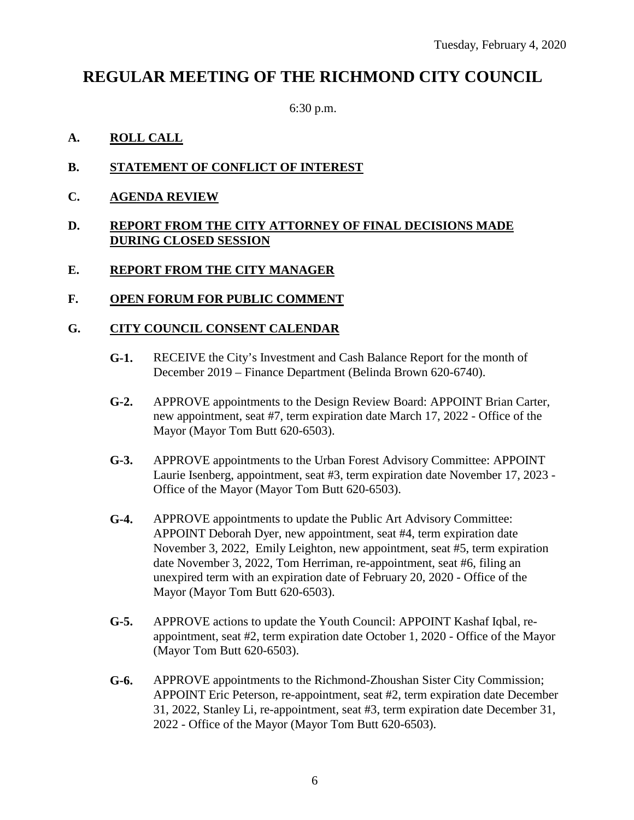# **REGULAR MEETING OF THE RICHMOND CITY COUNCIL**

6:30 p.m.

# **A. ROLL CALL**

- **B. STATEMENT OF CONFLICT OF INTEREST**
- **C. AGENDA REVIEW**

#### **D. REPORT FROM THE CITY ATTORNEY OF FINAL DECISIONS MADE DURING CLOSED SESSION**

#### **E. REPORT FROM THE CITY MANAGER**

**F. OPEN FORUM FOR PUBLIC COMMENT**

#### **G. CITY COUNCIL CONSENT CALENDAR**

- **G-1.** RECEIVE the City's Investment and Cash Balance Report for the month of December 2019 – Finance Department (Belinda Brown 620-6740).
- **G-2.** APPROVE appointments to the Design Review Board: APPOINT Brian Carter, new appointment, seat #7, term expiration date March 17, 2022 - Office of the Mayor (Mayor Tom Butt 620-6503).
- **G-3.** APPROVE appointments to the Urban Forest Advisory Committee: APPOINT Laurie Isenberg, appointment, seat #3, term expiration date November 17, 2023 - Office of the Mayor (Mayor Tom Butt 620-6503).
- **G-4.** APPROVE appointments to update the Public Art Advisory Committee: APPOINT Deborah Dyer, new appointment, seat #4, term expiration date November 3, 2022, Emily Leighton, new appointment, seat #5, term expiration date November 3, 2022, Tom Herriman, re-appointment, seat #6, filing an unexpired term with an expiration date of February 20, 2020 - Office of the Mayor (Mayor Tom Butt 620-6503).
- **G-5.** APPROVE actions to update the Youth Council: APPOINT Kashaf Iqbal, reappointment, seat #2, term expiration date October 1, 2020 - Office of the Mayor (Mayor Tom Butt 620-6503).
- **G-6.** APPROVE appointments to the Richmond-Zhoushan Sister City Commission; APPOINT Eric Peterson, re-appointment, seat #2, term expiration date December 31, 2022, Stanley Li, re-appointment, seat #3, term expiration date December 31, 2022 - Office of the Mayor (Mayor Tom Butt 620-6503).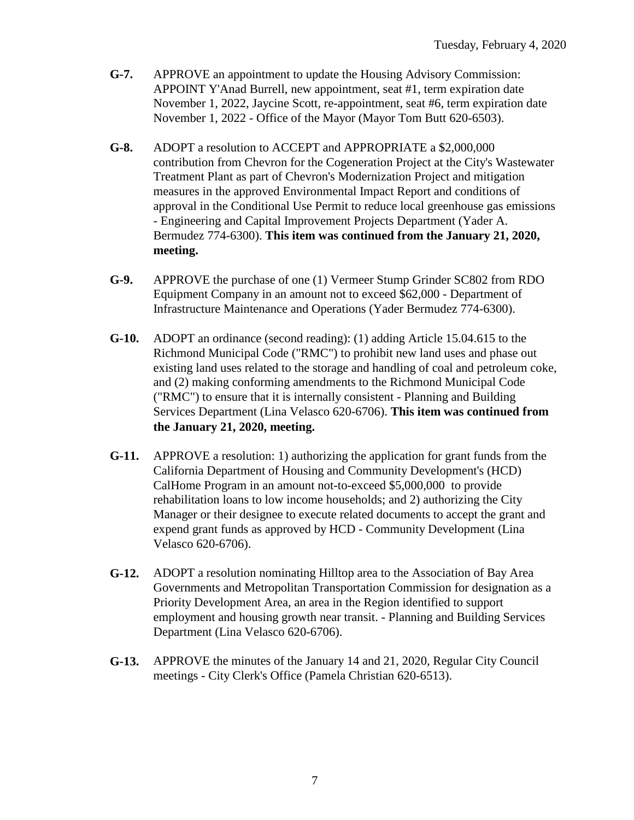- **G-7.** APPROVE an appointment to update the Housing Advisory Commission: APPOINT Y'Anad Burrell, new appointment, seat #1, term expiration date November 1, 2022, Jaycine Scott, re-appointment, seat #6, term expiration date November 1, 2022 - Office of the Mayor (Mayor Tom Butt 620-6503).
- **G-8.** ADOPT a resolution to ACCEPT and APPROPRIATE a \$2,000,000 contribution from Chevron for the Cogeneration Project at the City's Wastewater Treatment Plant as part of Chevron's Modernization Project and mitigation measures in the approved Environmental Impact Report and conditions of approval in the Conditional Use Permit to reduce local greenhouse gas emissions - Engineering and Capital Improvement Projects Department (Yader A. Bermudez 774-6300). **This item was continued from the January 21, 2020, meeting.**
- **G-9.** APPROVE the purchase of one (1) Vermeer Stump Grinder SC802 from RDO Equipment Company in an amount not to exceed \$62,000 - Department of Infrastructure Maintenance and Operations (Yader Bermudez 774-6300).
- **G-10.** ADOPT an ordinance (second reading): (1) adding Article 15.04.615 to the Richmond Municipal Code ("RMC") to prohibit new land uses and phase out existing land uses related to the storage and handling of coal and petroleum coke, and (2) making conforming amendments to the Richmond Municipal Code ("RMC") to ensure that it is internally consistent - Planning and Building Services Department (Lina Velasco 620-6706). **This item was continued from the January 21, 2020, meeting.**
- **G-11.** APPROVE a resolution: 1) authorizing the application for grant funds from the California Department of Housing and Community Development's (HCD) CalHome Program in an amount not-to-exceed \$5,000,000 to provide rehabilitation loans to low income households; and 2) authorizing the City Manager or their designee to execute related documents to accept the grant and expend grant funds as approved by HCD - Community Development (Lina Velasco 620-6706).
- **G-12.** ADOPT a resolution nominating Hilltop area to the Association of Bay Area Governments and Metropolitan Transportation Commission for designation as a Priority Development Area, an area in the Region identified to support employment and housing growth near transit. - Planning and Building Services Department (Lina Velasco 620-6706).
- **G-13.** APPROVE the minutes of the January 14 and 21, 2020, Regular City Council meetings - City Clerk's Office (Pamela Christian 620-6513).